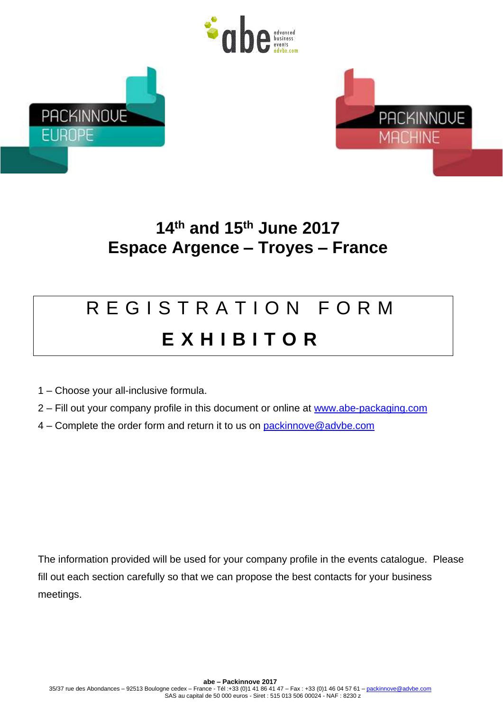





## **14 th and 15 th June 2017 Espace Argence – Troyes – France**

## R E G I S T R A T I O N F O R M **E X H I B I T O R**

- 1 Choose your all-inclusive formula.
- 2 Fill out your company profile in this document or online at [www.abe-packaging.com](http://www.abe-packaging.com/)
- 4 Complete the order form and return it to us on [packinnove@advbe.com](mailto:packinnove@advbe.com)

The information provided will be used for your company profile in the events catalogue. Please fill out each section carefully so that we can propose the best contacts for your business meetings.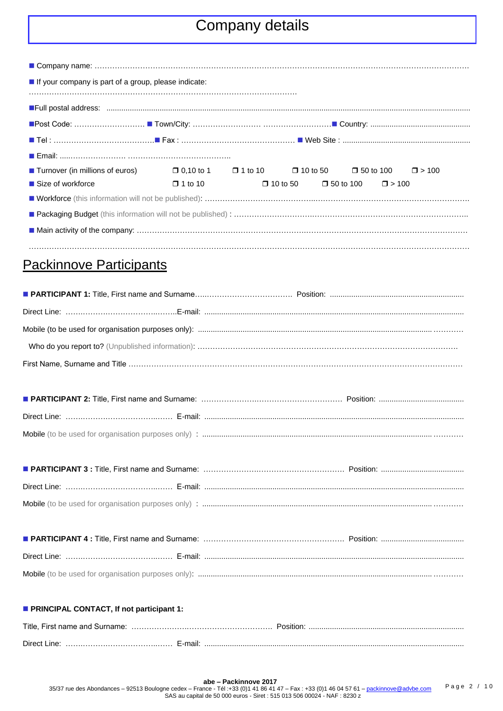## Company details

| If your company is part of a group, please indicate:                                                            |                |  |  |                                               |  |  |
|-----------------------------------------------------------------------------------------------------------------|----------------|--|--|-----------------------------------------------|--|--|
|                                                                                                                 |                |  |  |                                               |  |  |
|                                                                                                                 |                |  |  |                                               |  |  |
|                                                                                                                 |                |  |  |                                               |  |  |
| ■ Tel : ………………………………………■ Fax : ……………………………………………… ■ Web Site : ………………………………………………………                            |                |  |  |                                               |  |  |
|                                                                                                                 |                |  |  |                                               |  |  |
| ■ Turnover (in millions of euros) $\Box$ 0.10 to 1 $\Box$ 1 to 10 $\Box$ 10 to 50 $\Box$ 50 to 100 $\Box$ > 100 |                |  |  |                                               |  |  |
| $\blacksquare$ Size of workforce                                                                                | $\Box$ 1 to 10 |  |  | $\Box$ 10 to 50 $\Box$ 50 to 100 $\Box$ > 100 |  |  |
|                                                                                                                 |                |  |  |                                               |  |  |
|                                                                                                                 |                |  |  |                                               |  |  |
|                                                                                                                 |                |  |  |                                               |  |  |
|                                                                                                                 |                |  |  |                                               |  |  |

## Packinnove Participants

| <b>PRINCIPAL CONTACT, If not participant 1:</b> |  |
|-------------------------------------------------|--|
|                                                 |  |
|                                                 |  |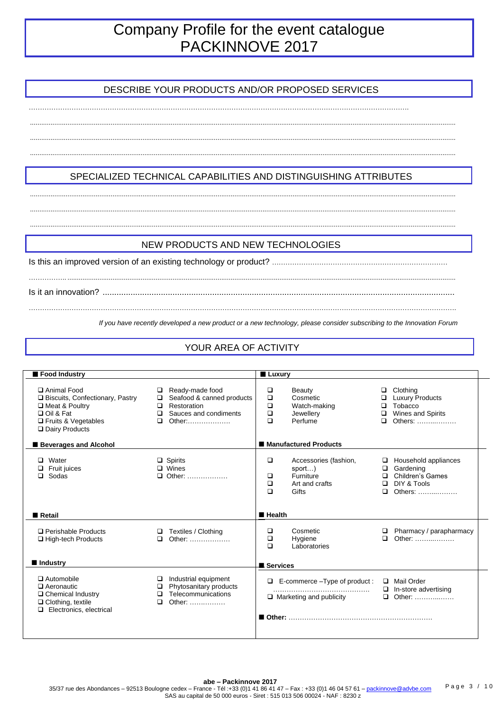## Company Profile for the event catalogue PACKINNOVE 2017

#### DESCRIBE YOUR PRODUCTS AND/OR PROPOSED SERVICES

................................................................................................................................................................................................................................... ................................................................................................................................................................................................................................... ...................................................................................................................................................................................................................................

…………………………………………………………………………………………………………………………………………………….

#### ................................................................................................................................................................................................................................... ...................................................................................................................................................................................................................................

...................................................................................................................................................................................................................................

SPECIALIZED TECHNICAL CAPABILITIES AND DISTINGUISHING ATTRIBUTES

#### NEW PRODUCTS AND NEW TECHNOLOGIES

…………….. ...............................................................................................................................................................................................................

……………………………………………………………………………………………………………………………………………………………………….

Is this an improved version of an existing technology or product? ……………………………………………………………………

Is it an innovation? .......................................................................................................................................................

*If you have recently developed a new product or a new technology, please consider subscribing to the Innovation Forum*

#### YOUR AREA OF ACTIVITY

| Food Industry                                                                                                                       |                                                                                                                         | <b>Luxury</b>                                                                                              |                                                                                                             |
|-------------------------------------------------------------------------------------------------------------------------------------|-------------------------------------------------------------------------------------------------------------------------|------------------------------------------------------------------------------------------------------------|-------------------------------------------------------------------------------------------------------------|
| □ Animal Food<br>□ Biscuits, Confectionary, Pastry<br>Meat & Poultry<br>□ Oil & Fat<br>$\Box$ Fruits & Vegetables<br>Dairy Products | Ready-made food<br>□<br>Seafood & canned products<br>□<br>Restoration<br>□<br>Sauces and condiments<br>□<br>□<br>Other: | □<br>Beauty<br>$\Box$<br>Cosmetic<br>$\Box$<br>Watch-making<br>$\Box$<br>Jewellery<br>$\Box$<br>Perfume    | Clothing<br>$\Box$<br><b>Luxury Products</b><br>Tobacco<br>$\Box$<br>Wines and Spirits<br>□<br>Others:<br>□ |
| <b>Beverages and Alcohol</b>                                                                                                        |                                                                                                                         | ■ Manufactured Products                                                                                    |                                                                                                             |
| $\Box$ Water<br>Fruit juices<br>Sodas<br>□                                                                                          | $\Box$ Spirits<br>$\Box$ Wines<br>$\Box$ Other:                                                                         | $\Box$<br>Accessories (fashion,<br>sport)<br>Furniture<br>□<br>$\Box$<br>Art and crafts<br>$\Box$<br>Gifts | Household appliances<br>⊔<br>Gardening<br>Children's Games<br>DIY & Tools<br>□<br>Others:<br>□              |
| Retail                                                                                                                              |                                                                                                                         | $H$ Health                                                                                                 |                                                                                                             |
| □ Perishable Products<br>□ High-tech Products                                                                                       | Textiles / Clothing<br>□<br>□<br>Other:                                                                                 | Cosmetic<br>□<br>$\Box$<br>Hygiene<br>$\Box$<br>Laboratories                                               | Pharmacy / parapharmacy<br>Other:<br>$\Box$                                                                 |
| Industry                                                                                                                            |                                                                                                                         | <b>B</b> Services                                                                                          |                                                                                                             |
| $\Box$ Automobile<br>$\Box$ Aeronautic<br>$\Box$ Chemical Industry<br>$\Box$ Clothing, textile<br>$\Box$ Electronics, electrical    | Industrial equipment<br>□<br>Phytosanitary products<br>□<br>Telecommunications<br>□<br>Other:<br>□                      | E-commerce - Type of product:<br>$\Box$<br>$\Box$ Marketing and publicity                                  | Mail Order<br>$\Box$ In-store advertising<br>$\Box$ Other:                                                  |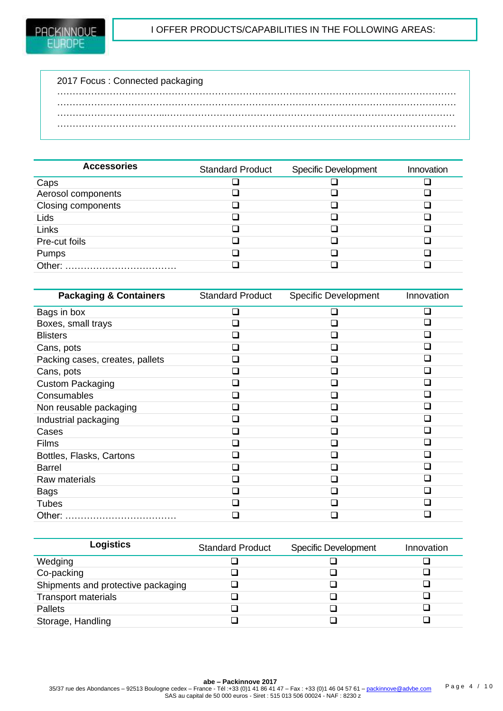| 2017 Focus: Connected packaging |  |
|---------------------------------|--|
|                                 |  |
|                                 |  |
|                                 |  |
|                                 |  |
|                                 |  |

| <b>Accessories</b> | <b>Standard Product</b> | <b>Specific Development</b> | Innovation |
|--------------------|-------------------------|-----------------------------|------------|
| Caps               |                         |                             |            |
| Aerosol components |                         |                             |            |
| Closing components |                         |                             |            |
| Lids               |                         |                             |            |
| Links              |                         |                             |            |
| Pre-cut foils      |                         |                             |            |
| Pumps              |                         |                             |            |
| Other:             |                         |                             |            |

| <b>Packaging &amp; Containers</b> | <b>Standard Product</b>     | <b>Specific Development</b> | Innovation |
|-----------------------------------|-----------------------------|-----------------------------|------------|
| Bags in box                       |                             |                             |            |
| Boxes, small trays                |                             |                             |            |
| <b>Blisters</b>                   |                             |                             |            |
| Cans, pots                        |                             |                             |            |
| Packing cases, creates, pallets   | $\overline{\phantom{a}}$    |                             |            |
| Cans, pots                        | $\sim$                      |                             |            |
| <b>Custom Packaging</b>           | $\sim$                      |                             |            |
| Consumables                       |                             |                             |            |
| Non reusable packaging            |                             |                             |            |
| Industrial packaging              | $\sim$                      |                             |            |
| Cases                             | $\overline{\phantom{a}}$    |                             |            |
| Films                             | $\sim$                      |                             |            |
| Bottles, Flasks, Cartons          | $\mathcal{L}_{\mathcal{A}}$ |                             |            |
| <b>Barrel</b>                     | $\overline{\phantom{a}}$    |                             |            |
| Raw materials                     |                             |                             |            |
| Bags                              | $\sim$                      |                             |            |
| <b>Tubes</b>                      |                             |                             |            |
| Other:                            |                             |                             |            |

| <b>Logistics</b>                   | <b>Standard Product</b> | <b>Specific Development</b> | Innovation |
|------------------------------------|-------------------------|-----------------------------|------------|
| Wedging                            |                         |                             |            |
| Co-packing                         |                         |                             |            |
| Shipments and protective packaging |                         |                             |            |
| <b>Transport materials</b>         |                         |                             |            |
| <b>Pallets</b>                     |                         |                             |            |
| Storage, Handling                  |                         |                             |            |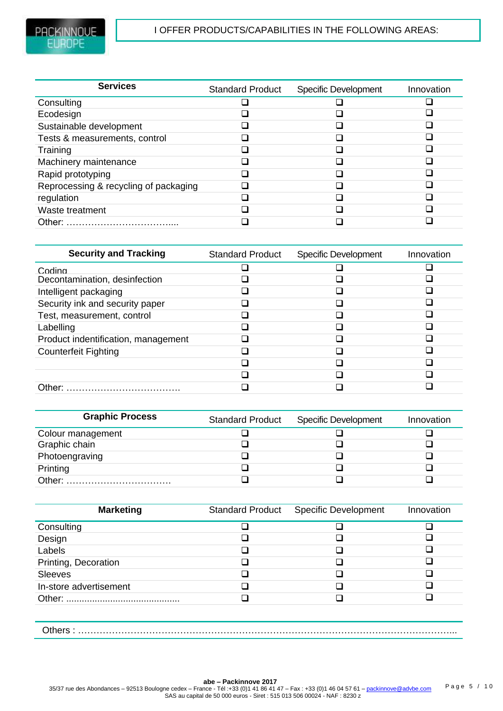| <b>Services</b>                       | <b>Standard Product</b> | <b>Specific Development</b> | Innovation |
|---------------------------------------|-------------------------|-----------------------------|------------|
| Consulting                            |                         |                             |            |
| Ecodesign                             |                         |                             |            |
| Sustainable development               |                         |                             |            |
| Tests & measurements, control         |                         |                             |            |
| Training                              |                         |                             |            |
| Machinery maintenance                 |                         |                             |            |
| Rapid prototyping                     |                         |                             |            |
| Reprocessing & recycling of packaging |                         |                             |            |
| regulation                            |                         |                             |            |
| Waste treatment                       |                         |                             |            |
| Other:                                |                         |                             |            |
|                                       |                         |                             |            |

| <b>Security and Tracking</b>        | <b>Standard Product</b> | <b>Specific Development</b> | Innovation |
|-------------------------------------|-------------------------|-----------------------------|------------|
| Codina                              |                         |                             |            |
| Decontamination, desinfection       |                         |                             |            |
| Intelligent packaging               |                         |                             |            |
| Security ink and security paper     |                         |                             |            |
| Test, measurement, control          |                         |                             |            |
| Labelling                           |                         |                             |            |
| Product indentification, management |                         |                             |            |
| <b>Counterfeit Fighting</b>         |                         |                             |            |
|                                     |                         |                             |            |
|                                     |                         |                             |            |
| Other:                              |                         |                             |            |

| <b>Graphic Process</b> | <b>Standard Product</b> | <b>Specific Development</b> | Innovation |
|------------------------|-------------------------|-----------------------------|------------|
| Colour management      |                         |                             |            |
| Graphic chain          |                         |                             |            |
| Photoengraving         |                         |                             |            |
| Printing               |                         |                             |            |
| Other:                 |                         |                             |            |

| <b>Marketing</b>       | <b>Standard Product</b> | <b>Specific Development</b> | Innovation |
|------------------------|-------------------------|-----------------------------|------------|
| Consulting             |                         |                             |            |
| Design                 |                         |                             |            |
| Labels                 |                         |                             |            |
| Printing, Decoration   |                         |                             |            |
| <b>Sleeves</b>         |                         |                             |            |
| In-store advertisement |                         |                             |            |
|                        |                         |                             |            |
|                        |                         |                             |            |
| Others:                |                         |                             |            |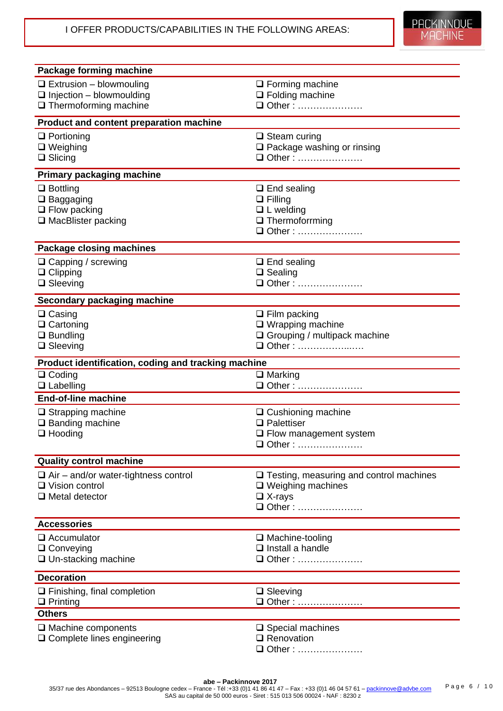| Package forming machine                                              |                                                    |
|----------------------------------------------------------------------|----------------------------------------------------|
| $\Box$ Extrusion - blowmouling                                       | $\Box$ Forming machine                             |
| $\Box$ Injection - blowmoulding                                      | $\Box$ Folding machine                             |
| $\Box$ Thermoforming machine                                         | □ Other:                                           |
| Product and content preparation machine                              |                                                    |
| $\Box$ Portioning                                                    | $\Box$ Steam curing                                |
| $\Box$ Weighing                                                      | $\Box$ Package washing or rinsing                  |
| $\Box$ Slicing                                                       | □ Other:                                           |
| <b>Primary packaging machine</b>                                     |                                                    |
| $\Box$ Bottling                                                      | $\Box$ End sealing                                 |
| $\Box$ Baggaging                                                     | $\Box$ Filling                                     |
| $\Box$ Flow packing                                                  | $\Box$ L welding<br>$\Box$ Thermoforrming          |
| $\Box$ MacBlister packing                                            | □ Other:                                           |
|                                                                      |                                                    |
| Package closing machines                                             |                                                    |
| $\Box$ Capping / screwing<br>$\Box$ Clipping                         | $\Box$ End sealing<br>$\Box$ Sealing               |
| $\Box$ Sleeving                                                      | □ Other:                                           |
| Secondary packaging machine                                          |                                                    |
| $\Box$ Casing                                                        | $\Box$ Film packing                                |
| $\Box$ Cartoning                                                     | $\square$ Wrapping machine                         |
| $\Box$ Bundling                                                      | $\Box$ Grouping / multipack machine                |
| $\Box$ Sleeving                                                      | □ Other:                                           |
|                                                                      |                                                    |
| Product identification, coding and tracking machine                  |                                                    |
| $\Box$ Coding                                                        | $\Box$ Marking                                     |
| $\Box$ Labelling                                                     | □ Other:                                           |
| <b>End-of-line machine</b>                                           |                                                    |
| $\Box$ Strapping machine                                             | $\Box$ Cushioning machine                          |
| $\Box$ Banding machine                                               | $\Box$ Palettiser                                  |
| $\Box$ Hooding                                                       | $\Box$ Flow management system<br>□ Other:          |
|                                                                      |                                                    |
| <b>Quality control machine</b>                                       |                                                    |
| $\Box$ Air – and/or water-tightness control<br>$\Box$ Vision control | $\Box$ Testing, measuring and control machines     |
| $\Box$ Metal detector                                                | $\Box$ Weighing machines<br>$\Box$ X-rays          |
|                                                                      | □ Other:                                           |
| <b>Accessories</b>                                                   |                                                    |
| $\Box$ Accumulator                                                   | $\Box$ Machine-tooling                             |
| $\Box$ Conveying                                                     | $\Box$ Install a handle                            |
| $\Box$ Un-stacking machine                                           | □ Other:                                           |
| <b>Decoration</b>                                                    |                                                    |
| $\Box$ Finishing, final completion                                   | $\Box$ Sleeving                                    |
| $\Box$ Printing                                                      | □ Other :                                          |
| <b>Others</b>                                                        |                                                    |
| $\Box$ Machine components<br>□ Complete lines engineering            | $\square$ Special machines<br>$\square$ Renovation |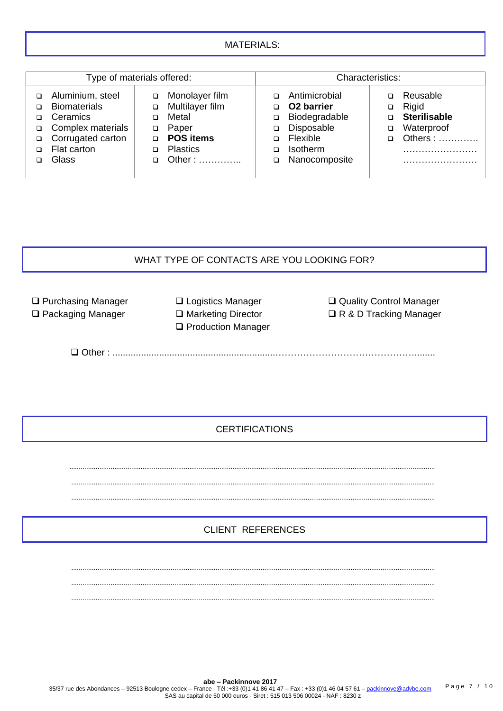#### MATERIALS:

| Type of materials offered: |                                                                          | Characteristics:                             |             |                                                                        |        |                                                        |
|----------------------------|--------------------------------------------------------------------------|----------------------------------------------|-------------|------------------------------------------------------------------------|--------|--------------------------------------------------------|
|                            | Aluminium, steel<br><b>Biomaterials</b><br>Ceramics<br>Complex materials | Monolayer film<br>Multilayer film<br>Metal   | ◻<br>□      | Antimicrobial<br>O <sub>2</sub> barrier<br>Biodegradable<br>Disposable | ▫      | Reusable<br>Rigid<br><b>Sterilisable</b><br>Waterproof |
| ◻<br>◻                     | Corrugated carton<br>Flat carton                                         | Paper<br><b>POS items</b><br><b>Plastics</b> | ◻<br>◻<br>◻ | Flexible<br><b>Isotherm</b>                                            | $\Box$ | Others:                                                |
|                            | Glass                                                                    | Other:                                       | □           | Nanocomposite                                                          |        |                                                        |

# WHAT TYPE OF CONTACTS ARE YOU LOOKING FOR?

**Q** Purchasing Manager

□ Packaging Manager

□ Logistics Manager □ Marketing Director **Q** Production Manager Quality Control Manager **□ R & D Tracking Manager** 

Other : ...............................................................………………………………………........

## **CERTIFICATIONS**

 ................................................................................................................................................................................................... .................................................................................................................................................................................................. ..................................................................................................................................................................................................

## CLIENT REFERENCES

.................................................................................................................................................................................................. ..................................................................................................................................................................................................

..................................................................................................................................................................................................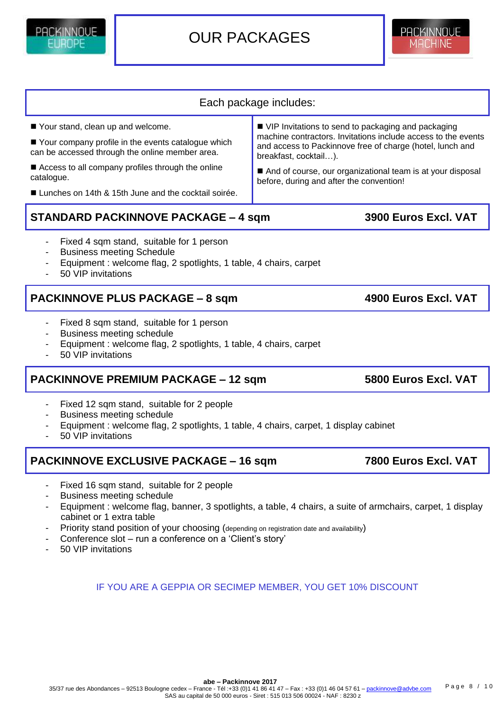Priority stand position of your choosing (depending on registration date and availability)

- Conference slot run a conference on a 'Client's story'
- 50 VIP invitations

#### **abe – Packinnove 2017** 35/37 rue des Abondances – 92513 Boulogne cedex – France - Tél :+33 (0)1 41 86 41 47 – Fax : +33 (0)1 46 04 57 61 – [packinnove@advbe.com](mailto:packinnove@advbe.com) SAS au capital de 50 000 euros - Siret : 515 013 506 00024 - NAF : 8230 z Page 8 / 10

Your stand, clean up and welcome.

Your company profile in the events catalogue which can be accessed through the online member area.

Access to all company profiles through the online catalogue.

Lunches on 14th & 15th June and the cocktail soirée.

## **STANDARD PACKINNOVE PACKAGE – 4 sqm 3900 Euros Excl. VAT**

- Fixed 4 sqm stand, suitable for 1 person
- **Business meeting Schedule**
- Equipment : welcome flag, 2 spotlights, 1 table, 4 chairs, carpet
- 50 VIP invitations

PACKINNNUF

## **PACKINNOVE PLUS PACKAGE – 8 sqm 4900 Euros Excl. VAT**

- Fixed 8 sqm stand, suitable for 1 person
- Business meeting schedule
- Equipment : welcome flag, 2 spotlights, 1 table, 4 chairs, carpet
- 50 VIP invitations

## **PACKINNOVE PREMIUM PACKAGE – 12 sqm 5800 Euros Excl. VAT**

- Fixed 12 sqm stand, suitable for 2 people
- Business meeting schedule
- Equipment : welcome flag, 2 spotlights, 1 table, 4 chairs, carpet, 1 display cabinet
- 50 VIP invitations

## **PACKINNOVE EXCLUSIVE PACKAGE – 16 sqm 7800 Euros Excl. VAT**

- Fixed 16 sqm stand, suitable for 2 people
- Business meeting schedule
- Equipment : welcome flag, banner, 3 spotlights, a table, 4 chairs, a suite of armchairs, carpet, 1 display cabinet or 1 extra table

IF YOU ARE A GEPPIA OR SECIMEP MEMBER, YOU GET 10% DISCOUNT

- 
- 
- 



And of course, our organizational team is at your disposal

before, during and after the convention!

**MACHINE** 

Each package includes:

■ VIP Invitations to send to packaging and packaging

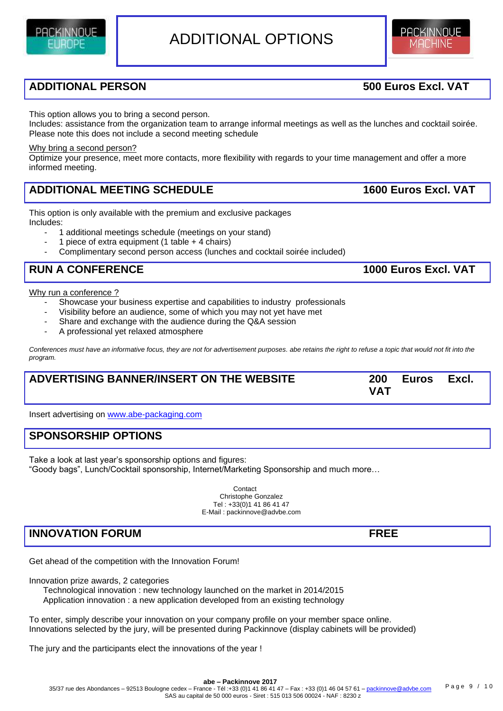## **ADDITIONAL PERSON 500 Euros Excl. VAT**

PACKINNOUE

This option allows you to bring a second person.

Includes: assistance from the organization team to arrange informal meetings as well as the lunches and cocktail soirée. Please note this does not include a second meeting schedule

#### Why bring a second person?

Optimize your presence, meet more contacts, more flexibility with regards to your time management and offer a more informed meeting.

#### **ADDITIONAL MEETING SCHEDULE 1600 Euros Excl. VAT**

This option is only available with the premium and exclusive packages Includes:

1 additional meetings schedule (meetings on your stand)

- 1 piece of extra equipment (1 table  $+$  4 chairs)
- Complimentary second person access (lunches and cocktail soirée included)

## **RUN A CONFERENCE**

Why run a conference ?

- Showcase your business expertise and capabilities to industry professionals
- Visibility before an audience, some of which you may not yet have met
- Share and exchange with the audience during the Q&A session
- A professional yet relaxed atmosphere

Conferences must have an informative focus, they are not for advertisement purposes. abe retains the right to refuse a topic that would not fit into the *program.*

## **ADVERTISING BANNER/INSERT ON THE WEBSITE 200 Euros Excl. VAT**

Insert advertising on [www.abe-packaging.com](http://www.abe-packaging.com/)

## **SPONSORSHIP OPTIONS**

Take a look at last year's sponsorship options and figures: "Goody bags", Lunch/Cocktail sponsorship, Internet/Marketing Sponsorship and much more…

> Contact Christophe Gonzalez Tel : +33(0)1 41 86 41 47 E-Mail : packinnove@advbe.com

## **INNOVATION FORUM FREE**

Get ahead of the competition with the Innovation Forum!

Innovation prize awards, 2 categories

 Technological innovation : new technology launched on the market in 2014/2015 Application innovation : a new application developed from an existing technology

To enter, simply describe your innovation on your company profile on your member space online. Innovations selected by the jury, will be presented during Packinnove (display cabinets will be provided)

The jury and the participants elect the innovations of the year !



|  | 1000 Euros Excl. VAT |  |
|--|----------------------|--|